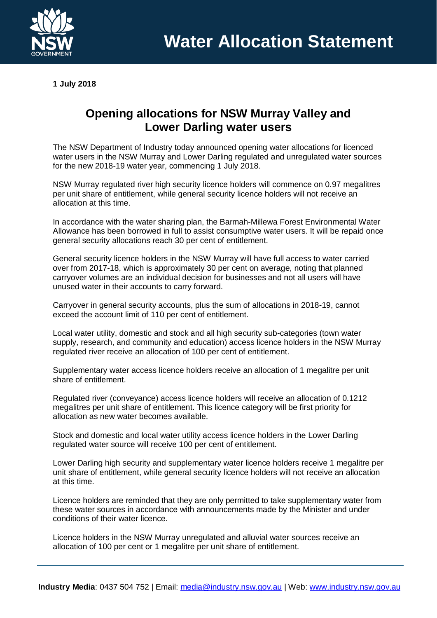

**1 July 2018**

## **Opening allocations for NSW Murray Valley and Lower Darling water users**

The NSW Department of Industry today announced opening water allocations for licenced water users in the NSW Murray and Lower Darling regulated and unregulated water sources for the new 2018-19 water year, commencing 1 July 2018.

NSW Murray regulated river high security licence holders will commence on 0.97 megalitres per unit share of entitlement, while general security licence holders will not receive an allocation at this time.

In accordance with the water sharing plan, the Barmah-Millewa Forest Environmental Water Allowance has been borrowed in full to assist consumptive water users. It will be repaid once general security allocations reach 30 per cent of entitlement.

General security licence holders in the NSW Murray will have full access to water carried over from 2017-18, which is approximately 30 per cent on average, noting that planned carryover volumes are an individual decision for businesses and not all users will have unused water in their accounts to carry forward.

Carryover in general security accounts, plus the sum of allocations in 2018-19, cannot exceed the account limit of 110 per cent of entitlement.

Local water utility, domestic and stock and all high security sub-categories (town water supply, research, and community and education) access licence holders in the NSW Murray regulated river receive an allocation of 100 per cent of entitlement.

Supplementary water access licence holders receive an allocation of 1 megalitre per unit share of entitlement.

Regulated river (conveyance) access licence holders will receive an allocation of 0.1212 megalitres per unit share of entitlement. This licence category will be first priority for allocation as new water becomes available.

Stock and domestic and local water utility access licence holders in the Lower Darling regulated water source will receive 100 per cent of entitlement.

Lower Darling high security and supplementary water licence holders receive 1 megalitre per unit share of entitlement, while general security licence holders will not receive an allocation at this time.

Licence holders are reminded that they are only permitted to take supplementary water from these water sources in accordance with announcements made by the Minister and under conditions of their water licence.

Licence holders in the NSW Murray unregulated and alluvial water sources receive an allocation of 100 per cent or 1 megalitre per unit share of entitlement.